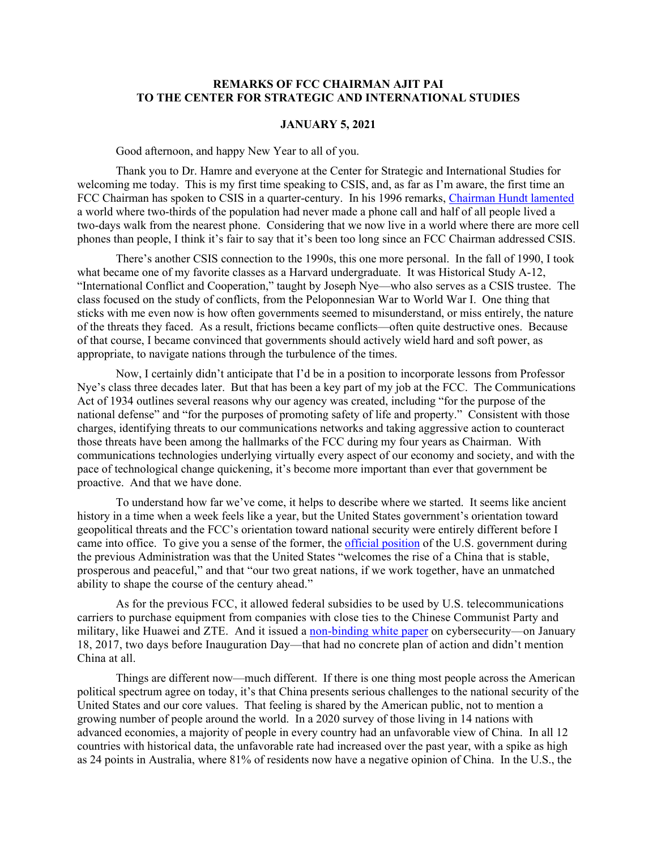## **REMARKS OF FCC CHAIRMAN AJIT PAI TO THE CENTER FOR STRATEGIC AND INTERNATIONAL STUDIES**

## **JANUARY 5, 2021**

Good afternoon, and happy New Year to all of you.

Thank you to Dr. Hamre and everyone at the Center for Strategic and International Studies for welcoming me today. This is my first time speaking to CSIS, and, as far as I'm aware, the first time an FCC Chairman has spoken to CSIS in a quarter-century. In his 1996 remarks, [Chairman Hundt lamented](https://transition.fcc.gov/Speeches/Hundt/spreh654.html) a world where two-thirds of the population had never made a phone call and half of all people lived a two-days walk from the nearest phone. Considering that we now live in a world where there are more cell phones than people, I think it's fair to say that it's been too long since an FCC Chairman addressed CSIS.

There's another CSIS connection to the 1990s, this one more personal. In the fall of 1990, I took what became one of my favorite classes as a Harvard undergraduate. It was Historical Study A-12, "International Conflict and Cooperation," taught by Joseph Nye—who also serves as a CSIS trustee. The class focused on the study of conflicts, from the Peloponnesian War to World War I. One thing that sticks with me even now is how often governments seemed to misunderstand, or miss entirely, the nature of the threats they faced. As a result, frictions became conflicts—often quite destructive ones. Because of that course, I became convinced that governments should actively wield hard and soft power, as appropriate, to navigate nations through the turbulence of the times.

Now, I certainly didn't anticipate that I'd be in a position to incorporate lessons from Professor Nye's class three decades later. But that has been a key part of my job at the FCC. The Communications Act of 1934 outlines several reasons why our agency was created, including "for the purpose of the national defense" and "for the purposes of promoting safety of life and property." Consistent with those charges, identifying threats to our communications networks and taking aggressive action to counteract those threats have been among the hallmarks of the FCC during my four years as Chairman. With communications technologies underlying virtually every aspect of our economy and society, and with the pace of technological change quickening, it's become more important than ever that government be proactive. And that we have done.

To understand how far we've come, it helps to describe where we started. It seems like ancient history in a time when a week feels like a year, but the United States government's orientation toward geopolitical threats and the FCC's orientation toward national security were entirely different before I came into office. To give you a sense of the former, the [official position](https://obamawhitehouse.archives.gov/the-press-office/2015/09/25/remarks-president-obama-and-president-xi-peoples-republic-china-arrival) of the U.S. government during the previous Administration was that the United States "welcomes the rise of a China that is stable, prosperous and peaceful," and that "our two great nations, if we work together, have an unmatched ability to shape the course of the century ahead."

As for the previous FCC, it allowed federal subsidies to be used by U.S. telecommunications carriers to purchase equipment from companies with close ties to the Chinese Communist Party and military, like Huawei and ZTE. And it issued a [non-binding white paper](https://docs.fcc.gov/public/attachments/DOC-343096A1.pdf) on cybersecurity—on January 18, 2017, two days before Inauguration Day—that had no concrete plan of action and didn't mention China at all.

Things are different now—much different. If there is one thing most people across the American political spectrum agree on today, it's that China presents serious challenges to the national security of the United States and our core values. That feeling is shared by the American public, not to mention a growing number of people around the world. In a 2020 survey of those living in 14 nations with advanced economies, a majority of people in every country had an unfavorable view of China. In all 12 countries with historical data, the unfavorable rate had increased over the past year, with a spike as high as 24 points in Australia, where 81% of residents now have a negative opinion of China. In the U.S., the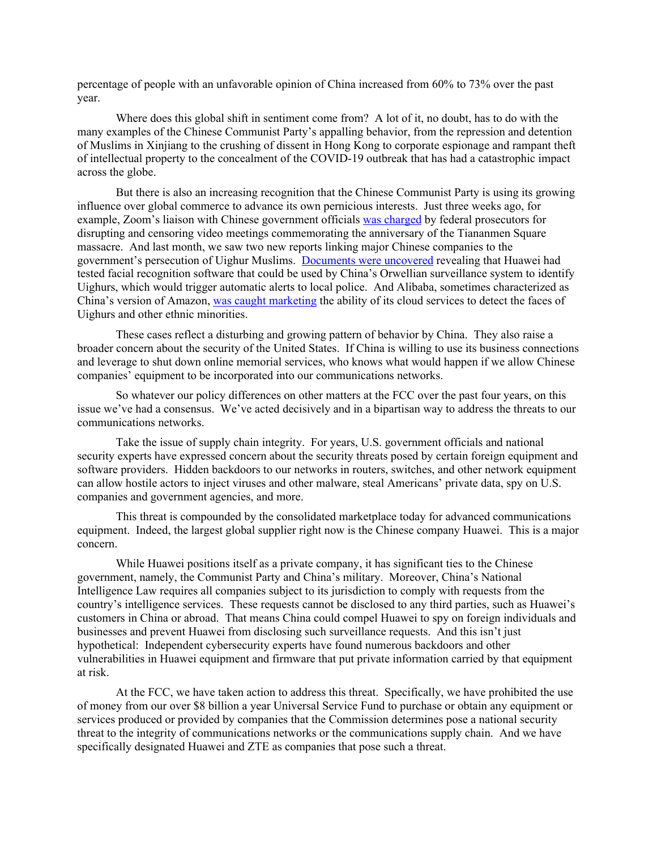percentage of people with an unfavorable opinion of China increased from 60% to 73% over the past year.

Where does this global shift in sentiment come from? A lot of it, no doubt, has to do with the many examples of the Chinese Communist Party's appalling behavior, from the repression and detention of Muslims in Xinjiang to the crushing of dissent in Hong Kong to corporate espionage and rampant theft of intellectual property to the concealment of the COVID-19 outbreak that has had a catastrophic impact across the globe.

But there is also an increasing recognition that the Chinese Communist Party is using its growing influence over global commerce to advance its own pernicious interests. Just three weeks ago, for example, Zoom's liaison with Chinese government officials [was charged](https://www.nytimes.com/2020/12/18/technology/zoom-tiananmen-square.html?searchResultPosition=1) by federal prosecutors for disrupting and censoring video meetings commemorating the anniversary of the Tiananmen Square massacre. And last month, we saw two new reports linking major Chinese companies to the government's persecution of Uighur Muslims. [Documents were uncovered](https://www.washingtonpost.com/technology/2020/12/08/huawei-tested-ai-software-that-could-recognize-uighur-minorities-alert-police-report-says/) revealing that Huawei had tested facial recognition software that could be used by China's Orwellian surveillance system to identify Uighurs, which would trigger automatic alerts to local police. And Alibaba, sometimes characterized as China's version of Amazon, [was caught marketing](https://www.nytimes.com/2020/12/16/technology/alibaba-china-facial-recognition-uighurs.html) the ability of its cloud services to detect the faces of Uighurs and other ethnic minorities.

These cases reflect a disturbing and growing pattern of behavior by China. They also raise a broader concern about the security of the United States. If China is willing to use its business connections and leverage to shut down online memorial services, who knows what would happen if we allow Chinese companies' equipment to be incorporated into our communications networks.

So whatever our policy differences on other matters at the FCC over the past four years, on this issue we've had a consensus. We've acted decisively and in a bipartisan way to address the threats to our communications networks.

Take the issue of supply chain integrity. For years, U.S. government officials and national security experts have expressed concern about the security threats posed by certain foreign equipment and software providers. Hidden backdoors to our networks in routers, switches, and other network equipment can allow hostile actors to inject viruses and other malware, steal Americans' private data, spy on U.S. companies and government agencies, and more.

This threat is compounded by the consolidated marketplace today for advanced communications equipment. Indeed, the largest global supplier right now is the Chinese company Huawei. This is a major concern.

While Huawei positions itself as a private company, it has significant ties to the Chinese government, namely, the Communist Party and China's military. Moreover, China's National Intelligence Law requires all companies subject to its jurisdiction to comply with requests from the country's intelligence services. These requests cannot be disclosed to any third parties, such as Huawei's customers in China or abroad. That means China could compel Huawei to spy on foreign individuals and businesses and prevent Huawei from disclosing such surveillance requests. And this isn't just hypothetical: Independent cybersecurity experts have found numerous backdoors and other vulnerabilities in Huawei equipment and firmware that put private information carried by that equipment at risk.

At the FCC, we have taken action to address this threat. Specifically, we have prohibited the use of money from our over \$8 billion a year Universal Service Fund to purchase or obtain any equipment or services produced or provided by companies that the Commission determines pose a national security threat to the integrity of communications networks or the communications supply chain. And we have specifically designated Huawei and ZTE as companies that pose such a threat.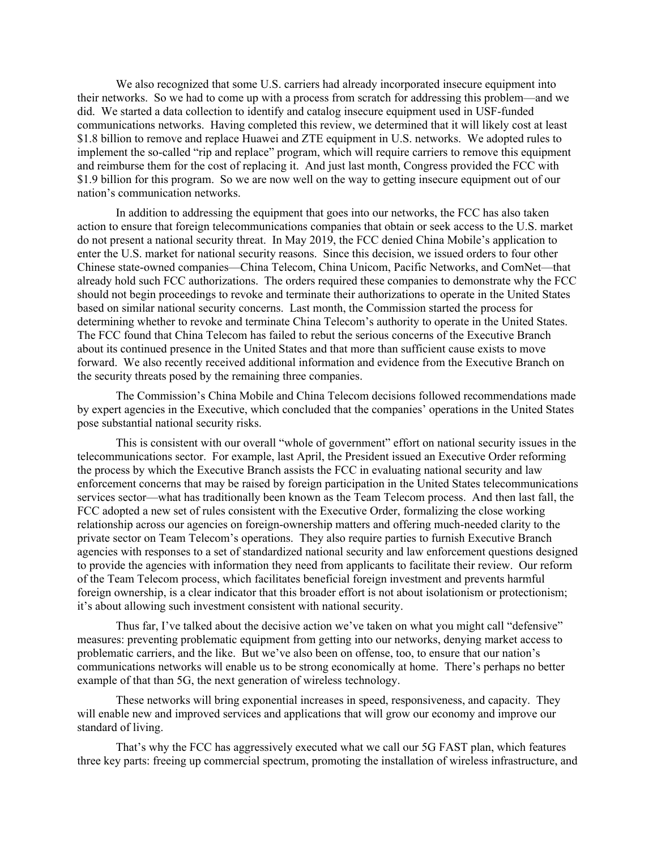We also recognized that some U.S. carriers had already incorporated insecure equipment into their networks. So we had to come up with a process from scratch for addressing this problem—and we did. We started a data collection to identify and catalog insecure equipment used in USF-funded communications networks. Having completed this review, we determined that it will likely cost at least \$1.8 billion to remove and replace Huawei and ZTE equipment in U.S. networks. We adopted rules to implement the so-called "rip and replace" program, which will require carriers to remove this equipment and reimburse them for the cost of replacing it. And just last month, Congress provided the FCC with \$1.9 billion for this program. So we are now well on the way to getting insecure equipment out of our nation's communication networks.

In addition to addressing the equipment that goes into our networks, the FCC has also taken action to ensure that foreign telecommunications companies that obtain or seek access to the U.S. market do not present a national security threat. In May 2019, the FCC denied China Mobile's application to enter the U.S. market for national security reasons. Since this decision, we issued orders to four other Chinese state-owned companies—China Telecom, China Unicom, Pacific Networks, and ComNet—that already hold such FCC authorizations. The orders required these companies to demonstrate why the FCC should not begin proceedings to revoke and terminate their authorizations to operate in the United States based on similar national security concerns. Last month, the Commission started the process for determining whether to revoke and terminate China Telecom's authority to operate in the United States. The FCC found that China Telecom has failed to rebut the serious concerns of the Executive Branch about its continued presence in the United States and that more than sufficient cause exists to move forward. We also recently received additional information and evidence from the Executive Branch on the security threats posed by the remaining three companies.

The Commission's China Mobile and China Telecom decisions followed recommendations made by expert agencies in the Executive, which concluded that the companies' operations in the United States pose substantial national security risks.

This is consistent with our overall "whole of government" effort on national security issues in the telecommunications sector. For example, last April, the President issued an Executive Order reforming the process by which the Executive Branch assists the FCC in evaluating national security and law enforcement concerns that may be raised by foreign participation in the United States telecommunications services sector—what has traditionally been known as the Team Telecom process. And then last fall, the FCC adopted a new set of rules consistent with the Executive Order, formalizing the close working relationship across our agencies on foreign-ownership matters and offering much-needed clarity to the private sector on Team Telecom's operations. They also require parties to furnish Executive Branch agencies with responses to a set of standardized national security and law enforcement questions designed to provide the agencies with information they need from applicants to facilitate their review. Our reform of the Team Telecom process, which facilitates beneficial foreign investment and prevents harmful foreign ownership, is a clear indicator that this broader effort is not about isolationism or protectionism; it's about allowing such investment consistent with national security.

Thus far, I've talked about the decisive action we've taken on what you might call "defensive" measures: preventing problematic equipment from getting into our networks, denying market access to problematic carriers, and the like. But we've also been on offense, too, to ensure that our nation's communications networks will enable us to be strong economically at home. There's perhaps no better example of that than 5G, the next generation of wireless technology.

These networks will bring exponential increases in speed, responsiveness, and capacity. They will enable new and improved services and applications that will grow our economy and improve our standard of living.

That's why the FCC has aggressively executed what we call our 5G FAST plan, which features three key parts: freeing up commercial spectrum, promoting the installation of wireless infrastructure, and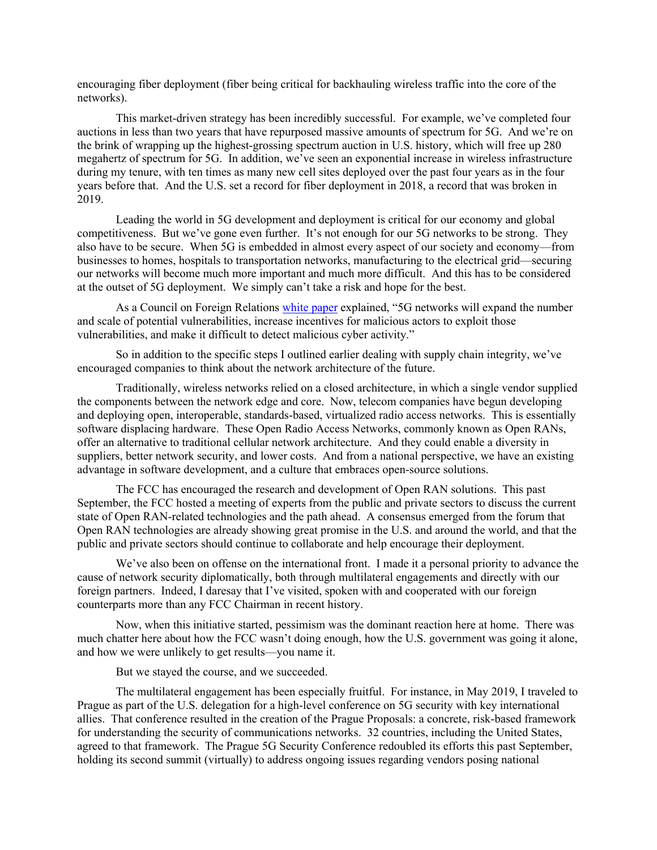encouraging fiber deployment (fiber being critical for backhauling wireless traffic into the core of the networks).

This market-driven strategy has been incredibly successful. For example, we've completed four auctions in less than two years that have repurposed massive amounts of spectrum for 5G. And we're on the brink of wrapping up the highest-grossing spectrum auction in U.S. history, which will free up 280 megahertz of spectrum for 5G. In addition, we've seen an exponential increase in wireless infrastructure during my tenure, with ten times as many new cell sites deployed over the past four years as in the four years before that. And the U.S. set a record for fiber deployment in 2018, a record that was broken in 2019.

Leading the world in 5G development and deployment is critical for our economy and global competitiveness. But we've gone even further. It's not enough for our 5G networks to be strong. They also have to be secure. When 5G is embedded in almost every aspect of our society and economy—from businesses to homes, hospitals to transportation networks, manufacturing to the electrical grid—securing our networks will become much more important and much more difficult. And this has to be considered at the outset of 5G deployment. We simply can't take a risk and hope for the best.

As a Council on Foreign Relations [white paper](https://www.cfr.org/report/securing-5g-networks) explained, "5G networks will expand the number and scale of potential vulnerabilities, increase incentives for malicious actors to exploit those vulnerabilities, and make it difficult to detect malicious cyber activity."

So in addition to the specific steps I outlined earlier dealing with supply chain integrity, we've encouraged companies to think about the network architecture of the future.

Traditionally, wireless networks relied on a closed architecture, in which a single vendor supplied the components between the network edge and core. Now, telecom companies have begun developing and deploying open, interoperable, standards-based, virtualized radio access networks. This is essentially software displacing hardware. These Open Radio Access Networks, commonly known as Open RANs, offer an alternative to traditional cellular network architecture. And they could enable a diversity in suppliers, better network security, and lower costs. And from a national perspective, we have an existing advantage in software development, and a culture that embraces open-source solutions.

The FCC has encouraged the research and development of Open RAN solutions. This past September, the FCC hosted a meeting of experts from the public and private sectors to discuss the current state of Open RAN-related technologies and the path ahead. A consensus emerged from the forum that Open RAN technologies are already showing great promise in the U.S. and around the world, and that the public and private sectors should continue to collaborate and help encourage their deployment.

We've also been on offense on the international front. I made it a personal priority to advance the cause of network security diplomatically, both through multilateral engagements and directly with our foreign partners. Indeed, I daresay that I've visited, spoken with and cooperated with our foreign counterparts more than any FCC Chairman in recent history.

Now, when this initiative started, pessimism was the dominant reaction here at home. There was much chatter here about how the FCC wasn't doing enough, how the U.S. government was going it alone, and how we were unlikely to get results—you name it.

But we stayed the course, and we succeeded.

The multilateral engagement has been especially fruitful. For instance, in May 2019, I traveled to Prague as part of the U.S. delegation for a high-level conference on 5G security with key international allies. That conference resulted in the creation of the Prague Proposals: a concrete, risk-based framework for understanding the security of communications networks. 32 countries, including the United States, agreed to that framework. The Prague 5G Security Conference redoubled its efforts this past September, holding its second summit (virtually) to address ongoing issues regarding vendors posing national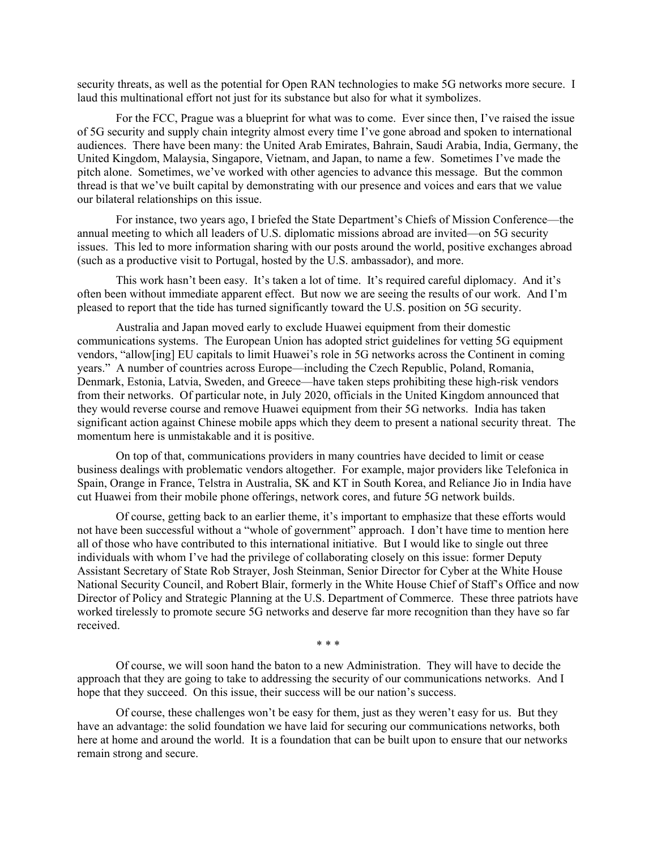security threats, as well as the potential for Open RAN technologies to make 5G networks more secure. I laud this multinational effort not just for its substance but also for what it symbolizes.

For the FCC, Prague was a blueprint for what was to come. Ever since then, I've raised the issue of 5G security and supply chain integrity almost every time I've gone abroad and spoken to international audiences. There have been many: the United Arab Emirates, Bahrain, Saudi Arabia, India, Germany, the United Kingdom, Malaysia, Singapore, Vietnam, and Japan, to name a few. Sometimes I've made the pitch alone. Sometimes, we've worked with other agencies to advance this message. But the common thread is that we've built capital by demonstrating with our presence and voices and ears that we value our bilateral relationships on this issue.

For instance, two years ago, I briefed the State Department's Chiefs of Mission Conference—the annual meeting to which all leaders of U.S. diplomatic missions abroad are invited—on 5G security issues. This led to more information sharing with our posts around the world, positive exchanges abroad (such as a productive visit to Portugal, hosted by the U.S. ambassador), and more.

This work hasn't been easy. It's taken a lot of time. It's required careful diplomacy. And it's often been without immediate apparent effect. But now we are seeing the results of our work. And I'm pleased to report that the tide has turned significantly toward the U.S. position on 5G security.

Australia and Japan moved early to exclude Huawei equipment from their domestic communications systems. The European Union has adopted strict guidelines for vetting 5G equipment vendors, "allow[ing] EU capitals to limit Huawei's role in 5G networks across the Continent in coming years." A number of countries across Europe—including the Czech Republic, Poland, Romania, Denmark, Estonia, Latvia, Sweden, and Greece—have taken steps prohibiting these high-risk vendors from their networks. Of particular note, in July 2020, officials in the United Kingdom announced that they would reverse course and remove Huawei equipment from their 5G networks. India has taken significant action against Chinese mobile apps which they deem to present a national security threat. The momentum here is unmistakable and it is positive.

On top of that, communications providers in many countries have decided to limit or cease business dealings with problematic vendors altogether. For example, major providers like Telefonica in Spain, Orange in France, Telstra in Australia, SK and KT in South Korea, and Reliance Jio in India have cut Huawei from their mobile phone offerings, network cores, and future 5G network builds.

Of course, getting back to an earlier theme, it's important to emphasize that these efforts would not have been successful without a "whole of government" approach. I don't have time to mention here all of those who have contributed to this international initiative. But I would like to single out three individuals with whom I've had the privilege of collaborating closely on this issue: former Deputy Assistant Secretary of State Rob Strayer, Josh Steinman, Senior Director for Cyber at the White House National Security Council, and Robert Blair, formerly in the White House Chief of Staff's Office and now Director of Policy and Strategic Planning at the U.S. Department of Commerce. These three patriots have worked tirelessly to promote secure 5G networks and deserve far more recognition than they have so far received.

\* \* \*

Of course, we will soon hand the baton to a new Administration. They will have to decide the approach that they are going to take to addressing the security of our communications networks. And I hope that they succeed. On this issue, their success will be our nation's success.

Of course, these challenges won't be easy for them, just as they weren't easy for us. But they have an advantage: the solid foundation we have laid for securing our communications networks, both here at home and around the world. It is a foundation that can be built upon to ensure that our networks remain strong and secure.